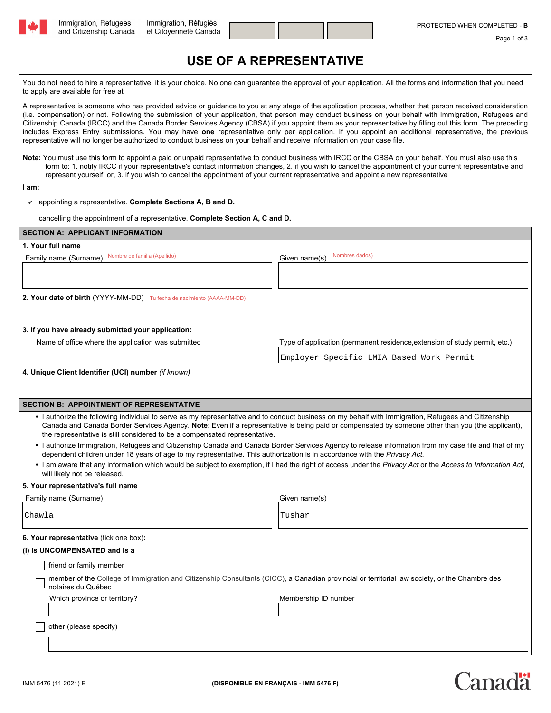



 $2n20$ 

## **USE OF A REPRESENTATIVE**

You do not need to hire a representative, it is your choice. No one can guarantee the approval of your application. All the forms and information that you need to apply are available for free at

A representative is someone who has provided advice or guidance to you at any stage of the application process, whether that person received consideration (i.e. compensation) or not. Following the submission of your application, that person may conduct business on your behalf with Immigration, Refugees and Citizenship Canada (IRCC) and the Canada Border Services Agency (CBSA) if you appoint them as your representative by filling out this form. The preceding includes Express Entry submissions. You may have **one** representative only per application. If you appoint an additional representative, the previous representative will no longer be authorized to conduct business on your behalf and receive information on your case file.

**Note:** You must use this form to appoint a paid or unpaid representative to conduct business with IRCC or the CBSA on your behalf. You must also use this form to: 1. notify IRCC if your representative's contact information changes, 2. if you wish to cancel the appointment of your current representative and represent yourself, or, 3. if you wish to cancel the appointment of your current representative and appoint a new representative

## **I am:**

|  | $\sqrt{\phantom{a}}$ appointing a representative. Complete Sections A, B and D. |  |  |  |  |
|--|---------------------------------------------------------------------------------|--|--|--|--|
|--|---------------------------------------------------------------------------------|--|--|--|--|

cancelling the appointment of a representative. **Complete Section A, C and D.**

| <b>SECTION A: APPLICANT INFORMATION</b>                                                                                                                                                                                                                                                                                                                                                |                                                                                                                                                             |  |  |  |  |  |
|----------------------------------------------------------------------------------------------------------------------------------------------------------------------------------------------------------------------------------------------------------------------------------------------------------------------------------------------------------------------------------------|-------------------------------------------------------------------------------------------------------------------------------------------------------------|--|--|--|--|--|
| 1. Your full name                                                                                                                                                                                                                                                                                                                                                                      |                                                                                                                                                             |  |  |  |  |  |
| Nombre de familia (Apellido)<br>Family name (Surname)                                                                                                                                                                                                                                                                                                                                  | Nombres dados)<br>Given name(s)                                                                                                                             |  |  |  |  |  |
|                                                                                                                                                                                                                                                                                                                                                                                        |                                                                                                                                                             |  |  |  |  |  |
|                                                                                                                                                                                                                                                                                                                                                                                        |                                                                                                                                                             |  |  |  |  |  |
| 2. Your date of birth (YYYY-MM-DD) Tu fecha de nacimiento (AAAA-MM-DD)                                                                                                                                                                                                                                                                                                                 |                                                                                                                                                             |  |  |  |  |  |
|                                                                                                                                                                                                                                                                                                                                                                                        |                                                                                                                                                             |  |  |  |  |  |
| 3. If you have already submitted your application:                                                                                                                                                                                                                                                                                                                                     |                                                                                                                                                             |  |  |  |  |  |
| Name of office where the application was submitted                                                                                                                                                                                                                                                                                                                                     | Type of application (permanent residence, extension of study permit, etc.)                                                                                  |  |  |  |  |  |
|                                                                                                                                                                                                                                                                                                                                                                                        |                                                                                                                                                             |  |  |  |  |  |
|                                                                                                                                                                                                                                                                                                                                                                                        | Employer Specific LMIA Based Work Permit                                                                                                                    |  |  |  |  |  |
| 4. Unique Client Identifier (UCI) number (if known)                                                                                                                                                                                                                                                                                                                                    |                                                                                                                                                             |  |  |  |  |  |
|                                                                                                                                                                                                                                                                                                                                                                                        |                                                                                                                                                             |  |  |  |  |  |
| <b>SECTION B: APPOINTMENT OF REPRESENTATIVE</b>                                                                                                                                                                                                                                                                                                                                        |                                                                                                                                                             |  |  |  |  |  |
| · I authorize the following individual to serve as my representative and to conduct business on my behalf with Immigration, Refugees and Citizenship<br>Canada and Canada Border Services Agency. Note: Even if a representative is being paid or compensated by someone other than you (the applicant),<br>the representative is still considered to be a compensated representative. |                                                                                                                                                             |  |  |  |  |  |
| dependent children under 18 years of age to my representative. This authorization is in accordance with the Privacy Act.                                                                                                                                                                                                                                                               | · I authorize Immigration, Refugees and Citizenship Canada and Canada Border Services Agency to release information from my case file and that of my        |  |  |  |  |  |
| will likely not be released.                                                                                                                                                                                                                                                                                                                                                           | . I am aware that any information which would be subject to exemption, if I had the right of access under the Privacy Act or the Access to Information Act, |  |  |  |  |  |
| 5. Your representative's full name                                                                                                                                                                                                                                                                                                                                                     |                                                                                                                                                             |  |  |  |  |  |
| Family name (Surname)                                                                                                                                                                                                                                                                                                                                                                  | Given name(s)                                                                                                                                               |  |  |  |  |  |
| Chawla                                                                                                                                                                                                                                                                                                                                                                                 | Tushar                                                                                                                                                      |  |  |  |  |  |
| 6. Your representative (tick one box):                                                                                                                                                                                                                                                                                                                                                 |                                                                                                                                                             |  |  |  |  |  |
| (i) is UNCOMPENSATED and is a                                                                                                                                                                                                                                                                                                                                                          |                                                                                                                                                             |  |  |  |  |  |
| friend or family member                                                                                                                                                                                                                                                                                                                                                                |                                                                                                                                                             |  |  |  |  |  |
| member of the College of Immigration and Citizenship Consultants (CICC), a Canadian provincial or territorial law society, or the Chambre des<br>notaires du Québec                                                                                                                                                                                                                    |                                                                                                                                                             |  |  |  |  |  |
| Which province or territory?                                                                                                                                                                                                                                                                                                                                                           | Membership ID number                                                                                                                                        |  |  |  |  |  |
|                                                                                                                                                                                                                                                                                                                                                                                        |                                                                                                                                                             |  |  |  |  |  |
| other (please specify)                                                                                                                                                                                                                                                                                                                                                                 |                                                                                                                                                             |  |  |  |  |  |
|                                                                                                                                                                                                                                                                                                                                                                                        |                                                                                                                                                             |  |  |  |  |  |
|                                                                                                                                                                                                                                                                                                                                                                                        |                                                                                                                                                             |  |  |  |  |  |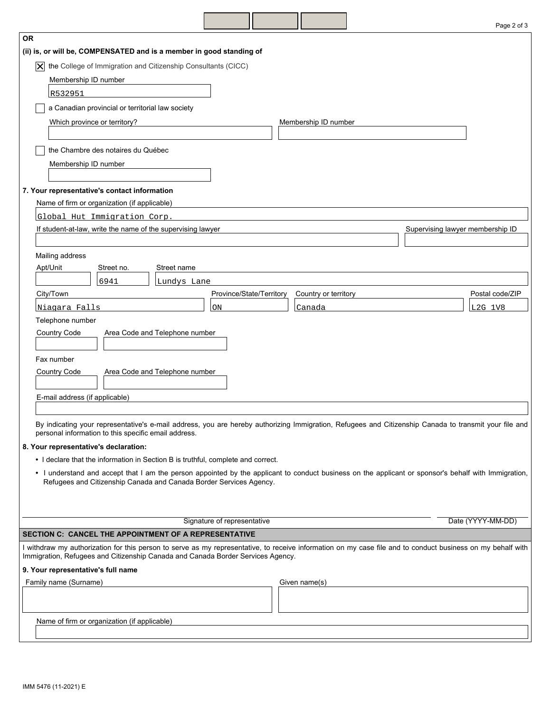|                                                                                                                                                                                                                                                |                      | Page 2 of 3                      |  |  |  |  |  |
|------------------------------------------------------------------------------------------------------------------------------------------------------------------------------------------------------------------------------------------------|----------------------|----------------------------------|--|--|--|--|--|
| <b>OR</b>                                                                                                                                                                                                                                      |                      |                                  |  |  |  |  |  |
| (ii) is, or will be, COMPENSATED and is a member in good standing of                                                                                                                                                                           |                      |                                  |  |  |  |  |  |
| the College of Immigration and Citizenship Consultants (CICC)<br>$ \boldsymbol{\mathsf{X}} $                                                                                                                                                   |                      |                                  |  |  |  |  |  |
| Membership ID number                                                                                                                                                                                                                           |                      |                                  |  |  |  |  |  |
| R532951                                                                                                                                                                                                                                        |                      |                                  |  |  |  |  |  |
| a Canadian provincial or territorial law society                                                                                                                                                                                               |                      |                                  |  |  |  |  |  |
| Which province or territory?                                                                                                                                                                                                                   | Membership ID number |                                  |  |  |  |  |  |
|                                                                                                                                                                                                                                                |                      |                                  |  |  |  |  |  |
| the Chambre des notaires du Québec                                                                                                                                                                                                             |                      |                                  |  |  |  |  |  |
| Membership ID number                                                                                                                                                                                                                           |                      |                                  |  |  |  |  |  |
|                                                                                                                                                                                                                                                |                      |                                  |  |  |  |  |  |
| 7. Your representative's contact information                                                                                                                                                                                                   |                      |                                  |  |  |  |  |  |
| Name of firm or organization (if applicable)                                                                                                                                                                                                   |                      |                                  |  |  |  |  |  |
| Global Hut Immigration Corp.                                                                                                                                                                                                                   |                      |                                  |  |  |  |  |  |
| If student-at-law, write the name of the supervising lawyer                                                                                                                                                                                    |                      | Supervising lawyer membership ID |  |  |  |  |  |
|                                                                                                                                                                                                                                                |                      |                                  |  |  |  |  |  |
| Mailing address                                                                                                                                                                                                                                |                      |                                  |  |  |  |  |  |
| Apt/Unit<br>Street name<br>Street no.                                                                                                                                                                                                          |                      |                                  |  |  |  |  |  |
| 6941<br>Lundys Lane<br>City/Town<br>Province/State/Territory                                                                                                                                                                                   | Country or territory | Postal code/ZIP                  |  |  |  |  |  |
| Niagara Falls<br>ON                                                                                                                                                                                                                            | Canada               | L2G 1V8                          |  |  |  |  |  |
| Telephone number                                                                                                                                                                                                                               |                      |                                  |  |  |  |  |  |
| Country Code<br>Area Code and Telephone number                                                                                                                                                                                                 |                      |                                  |  |  |  |  |  |
|                                                                                                                                                                                                                                                |                      |                                  |  |  |  |  |  |
| Fax number                                                                                                                                                                                                                                     |                      |                                  |  |  |  |  |  |
| Country Code<br>Area Code and Telephone number                                                                                                                                                                                                 |                      |                                  |  |  |  |  |  |
|                                                                                                                                                                                                                                                |                      |                                  |  |  |  |  |  |
| E-mail address (if applicable)                                                                                                                                                                                                                 |                      |                                  |  |  |  |  |  |
|                                                                                                                                                                                                                                                |                      |                                  |  |  |  |  |  |
| By indicating your representative's e-mail address, you are hereby authorizing Immigration, Refugees and Citizenship Canada to transmit your file and<br>personal information to this specific email address.                                  |                      |                                  |  |  |  |  |  |
| 8. Your representative's declaration:                                                                                                                                                                                                          |                      |                                  |  |  |  |  |  |
| • I declare that the information in Section B is truthful, complete and correct.                                                                                                                                                               |                      |                                  |  |  |  |  |  |
| • I understand and accept that I am the person appointed by the applicant to conduct business on the applicant or sponsor's behalf with Immigration,                                                                                           |                      |                                  |  |  |  |  |  |
| Refugees and Citizenship Canada and Canada Border Services Agency.                                                                                                                                                                             |                      |                                  |  |  |  |  |  |
|                                                                                                                                                                                                                                                |                      |                                  |  |  |  |  |  |
|                                                                                                                                                                                                                                                |                      |                                  |  |  |  |  |  |
| Signature of representative                                                                                                                                                                                                                    |                      | Date (YYYY-MM-DD)                |  |  |  |  |  |
| <b>SECTION C: CANCEL THE APPOINTMENT OF A REPRESENTATIVE</b>                                                                                                                                                                                   |                      |                                  |  |  |  |  |  |
| I withdraw my authorization for this person to serve as my representative, to receive information on my case file and to conduct business on my behalf with<br>Immigration, Refugees and Citizenship Canada and Canada Border Services Agency. |                      |                                  |  |  |  |  |  |
| 9. Your representative's full name                                                                                                                                                                                                             |                      |                                  |  |  |  |  |  |
| Family name (Surname)                                                                                                                                                                                                                          | Given name(s)        |                                  |  |  |  |  |  |
|                                                                                                                                                                                                                                                |                      |                                  |  |  |  |  |  |
|                                                                                                                                                                                                                                                |                      |                                  |  |  |  |  |  |
| Name of firm or organization (if applicable)                                                                                                                                                                                                   |                      |                                  |  |  |  |  |  |
|                                                                                                                                                                                                                                                |                      |                                  |  |  |  |  |  |

 $\overline{\phantom{a}}$